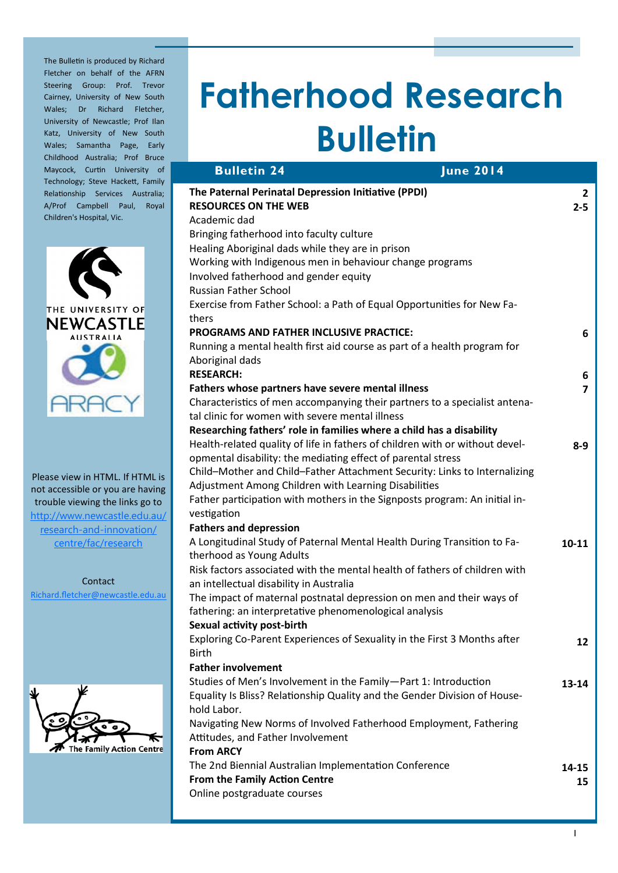The Bulletin is produced by Richard Fletcher on behalf of the AFRN Steering Group: Prof. Trevor Cairney, University of New South Wales; Dr Richard Fletcher, University of Newcastle; Prof Ilan Katz, University of New South Wales; Samantha Page, Early Childhood Australia; Prof Bruce Maycock, Curtin University of Technology; Steve Hackett, Family Relationship Services Australia; A/Prof Campbell Paul, Royal Children's Hospital, Vic.



Please view in HTML. If HTML is not accessible or you are having trouble viewing the links go to [http://www.newcastle.edu.au/](http://www.newcastle.edu.au/research-and-innovation/centre/fac/research) [research-and-innovation/](http://www.newcastle.edu.au/research-and-innovation/centre/fac/research) [centre/fac/research](http://www.newcastle.edu.au/research-and-innovation/centre/fac/research)

**Contact** [Richard.fletcher@newcastle.edu.au](mailto:Richard.fletcher@newcastle.edu.au)



# **Fatherhood Research Bulletin**

| <b>Bulletin 24</b>                                                                                                                           | <b>June 2014</b>        |
|----------------------------------------------------------------------------------------------------------------------------------------------|-------------------------|
| The Paternal Perinatal Depression Initiative (PPDI)<br><b>RESOURCES ON THE WEB</b><br>Academic dad                                           | $\mathbf{2}$<br>$2 - 5$ |
| Bringing fatherhood into faculty culture<br>Healing Aboriginal dads while they are in prison                                                 |                         |
| Working with Indigenous men in behaviour change programs                                                                                     |                         |
| Involved fatherhood and gender equity<br><b>Russian Father School</b>                                                                        |                         |
| Exercise from Father School: a Path of Equal Opportunities for New Fa-<br>thers                                                              |                         |
| PROGRAMS AND FATHER INCLUSIVE PRACTICE:                                                                                                      | 6                       |
| Running a mental health first aid course as part of a health program for<br>Aboriginal dads                                                  |                         |
| <b>RESEARCH:</b>                                                                                                                             | 6                       |
| Fathers whose partners have severe mental illness                                                                                            | $\overline{7}$          |
| Characteristics of men accompanying their partners to a specialist antena-<br>tal clinic for women with severe mental illness                |                         |
| Researching fathers' role in families where a child has a disability                                                                         |                         |
| Health-related quality of life in fathers of children with or without devel-                                                                 | $8 - 9$                 |
| opmental disability: the mediating effect of parental stress<br>Child-Mother and Child-Father Attachment Security: Links to Internalizing    |                         |
| Adjustment Among Children with Learning Disabilities                                                                                         |                         |
| Father participation with mothers in the Signposts program: An initial in-                                                                   |                         |
| vestigation                                                                                                                                  |                         |
| <b>Fathers and depression</b><br>A Longitudinal Study of Paternal Mental Health During Transition to Fa-                                     | $10 - 11$               |
| therhood as Young Adults                                                                                                                     |                         |
| Risk factors associated with the mental health of fathers of children with                                                                   |                         |
| an intellectual disability in Australia<br>The impact of maternal postnatal depression on men and their ways of                              |                         |
| fathering: an interpretative phenomenological analysis                                                                                       |                         |
| Sexual activity post-birth                                                                                                                   |                         |
| Exploring Co-Parent Experiences of Sexuality in the First 3 Months after<br><b>Birth</b>                                                     | 12                      |
| <b>Father involvement</b>                                                                                                                    |                         |
| Studies of Men's Involvement in the Family-Part 1: Introduction<br>Equality Is Bliss? Relationship Quality and the Gender Division of House- | $13 - 14$               |
| hold Labor.                                                                                                                                  |                         |
| Navigating New Norms of Involved Fatherhood Employment, Fathering<br>Attitudes, and Father Involvement                                       |                         |
| <b>From ARCY</b>                                                                                                                             |                         |
| The 2nd Biennial Australian Implementation Conference                                                                                        | 14-15                   |
| <b>From the Family Action Centre</b><br>Online postgraduate courses                                                                          | 15                      |
|                                                                                                                                              |                         |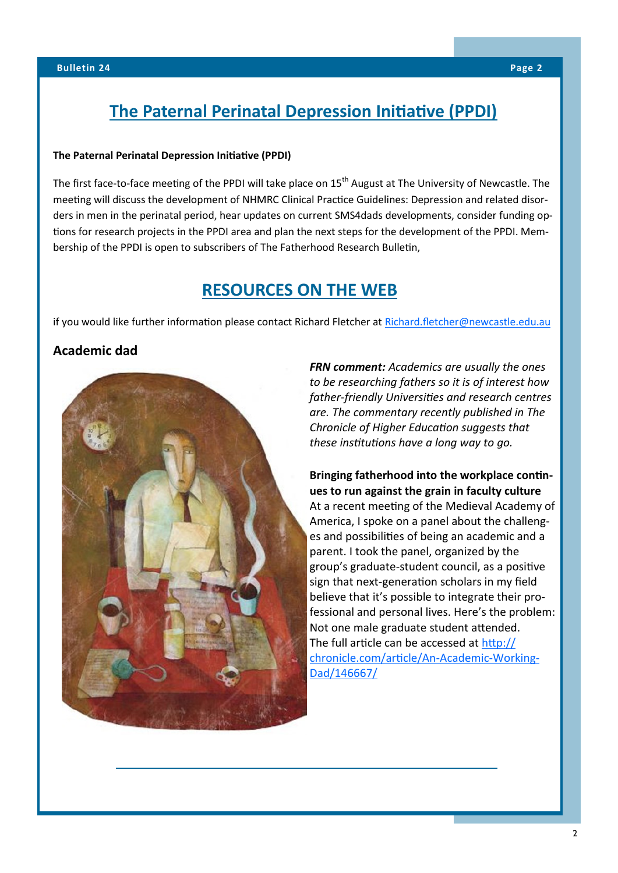### **The Paternal Perinatal Depression Initiative (PPDI)**

#### **The Paternal Perinatal Depression Initiative (PPDI)**

The first face-to-face meeting of the PPDI will take place on 15<sup>th</sup> August at The University of Newcastle. The meeting will discuss the development of NHMRC Clinical Practice Guidelines: Depression and related disorders in men in the perinatal period, hear updates on current SMS4dads developments, consider funding options for research projects in the PPDI area and plan the next steps for the development of the PPDI. Membership of the PPDI is open to subscribers of The Fatherhood Research Bulletin,

### **RESOURCES ON THE WEB**

if you would like further information please contact Richard Fletcher at [Richard.fletcher@newcastle.edu.au](mailto:Richard.fletcher@newcastle.edu.au)

### **Academic dad**



*FRN comment: Academics are usually the ones to be researching fathers so it is of interest how father-friendly Universities and research centres are. The commentary recently published in The Chronicle of Higher Education suggests that these institutions have a long way to go.* 

**Bringing fatherhood into the workplace continues to run against the grain in faculty culture** At a recent meeting of the Medieval Academy of America, I spoke on a panel about the challenges and possibilities of being an academic and a parent. I took the panel, organized by the group's graduate-student council, as a positive sign that next-generation scholars in my field believe that it's possible to integrate their professional and personal lives. Here's the problem: Not one male graduate student attended. The full article can be accessed at [http://](http://chronicle.com/article/An-Academic-Working-Dad/146667/) [chronicle.com/article/An](http://chronicle.com/article/An-Academic-Working-Dad/146667/)-Academic-Working-[Dad/146667/](http://chronicle.com/article/An-Academic-Working-Dad/146667/)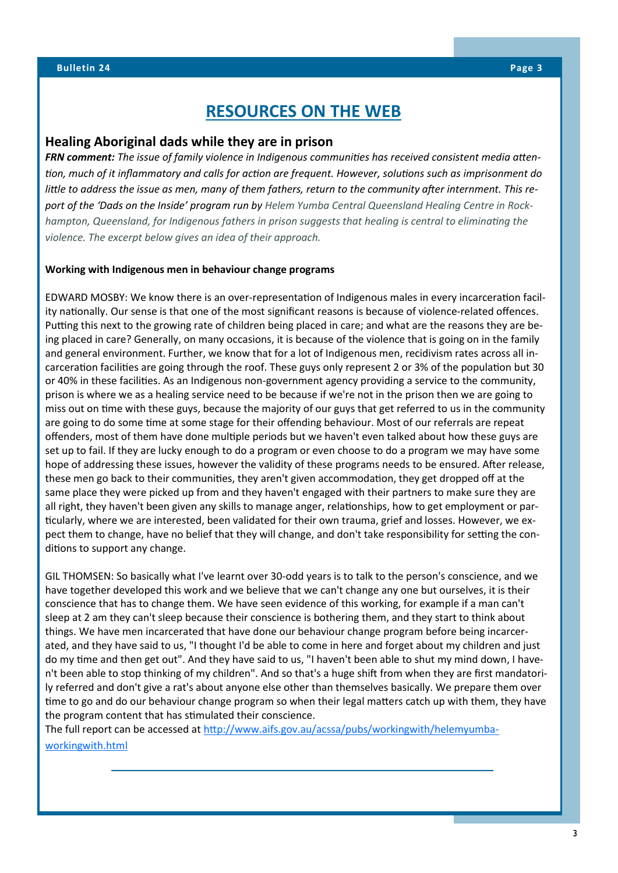### **RESOURCES ON THE WEB**

#### **Healing Aboriginal dads while they are in prison**

*FRN comment: The issue of family violence in Indigenous communities has received consistent media attention, much of it inflammatory and calls for action are frequent. However, solutions such as imprisonment do little to address the issue as men, many of them fathers, return to the community after internment. This report of the 'Dads on the Inside' program run by Helem Yumba Central Queensland Healing Centre in Rockhampton, Queensland, for Indigenous fathers in prison suggests that healing is central to eliminating the violence. The excerpt below gives an idea of their approach.* 

#### **Working with Indigenous men in behaviour change programs**

EDWARD MOSBY: We know there is an over-representation of Indigenous males in every incarceration facility nationally. Our sense is that one of the most significant reasons is because of violence-related offences. Putting this next to the growing rate of children being placed in care; and what are the reasons they are being placed in care? Generally, on many occasions, it is because of the violence that is going on in the family and general environment. Further, we know that for a lot of Indigenous men, recidivism rates across all incarceration facilities are going through the roof. These guys only represent 2 or 3% of the population but 30 or 40% in these facilities. As an Indigenous non-government agency providing a service to the community, prison is where we as a healing service need to be because if we're not in the prison then we are going to miss out on time with these guys, because the majority of our guys that get referred to us in the community are going to do some time at some stage for their offending behaviour. Most of our referrals are repeat offenders, most of them have done multiple periods but we haven't even talked about how these guys are set up to fail. If they are lucky enough to do a program or even choose to do a program we may have some hope of addressing these issues, however the validity of these programs needs to be ensured. After release, these men go back to their communities, they aren't given accommodation, they get dropped off at the same place they were picked up from and they haven't engaged with their partners to make sure they are all right, they haven't been given any skills to manage anger, relationships, how to get employment or particularly, where we are interested, been validated for their own trauma, grief and losses. However, we expect them to change, have no belief that they will change, and don't take responsibility for setting the conditions to support any change.

GIL THOMSEN: So basically what I've learnt over 30-odd years is to talk to the person's conscience, and we have together developed this work and we believe that we can't change any one but ourselves, it is their conscience that has to change them. We have seen evidence of this working, for example if a man can't sleep at 2 am they can't sleep because their conscience is bothering them, and they start to think about things. We have men incarcerated that have done our behaviour change program before being incarcerated, and they have said to us, "I thought I'd be able to come in here and forget about my children and just do my time and then get out". And they have said to us, "I haven't been able to shut my mind down, I haven't been able to stop thinking of my children". And so that's a huge shift from when they are first mandatorily referred and don't give a rat's about anyone else other than themselves basically. We prepare them over time to go and do our behaviour change program so when their legal matters catch up with them, they have the program content that has stimulated their conscience.

The full report can be accessed at [http://www.aifs.gov.au/acssa/pubs/workingwith/helemyumba](http://www.aifs.gov.au/acssa/pubs/workingwith/helemyumba-workingwith.html)[workingwith.html](http://www.aifs.gov.au/acssa/pubs/workingwith/helemyumba-workingwith.html)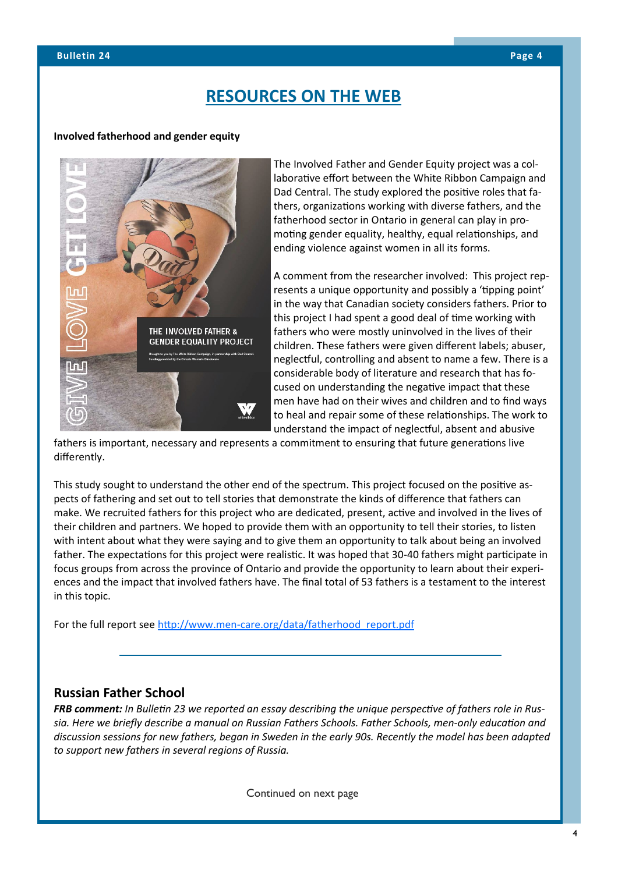#### **Bulletin 24 Page 4**

### **RESOURCES ON THE WEB**

#### **Involved fatherhood and gender equity**



The Involved Father and Gender Equity project was a collaborative effort between the White Ribbon Campaign and Dad Central. The study explored the positive roles that fathers, organizations working with diverse fathers, and the fatherhood sector in Ontario in general can play in promoting gender equality, healthy, equal relationships, and ending violence against women in all its forms.

A comment from the researcher involved: This project represents a unique opportunity and possibly a 'tipping point' in the way that Canadian society considers fathers. Prior to this project I had spent a good deal of time working with fathers who were mostly uninvolved in the lives of their children. These fathers were given different labels; abuser, neglectful, controlling and absent to name a few. There is a considerable body of literature and research that has focused on understanding the negative impact that these men have had on their wives and children and to find ways to heal and repair some of these relationships. The work to understand the impact of neglectful, absent and abusive

fathers is important, necessary and represents a commitment to ensuring that future generations live differently.

This study sought to understand the other end of the spectrum. This project focused on the positive aspects of fathering and set out to tell stories that demonstrate the kinds of difference that fathers can make. We recruited fathers for this project who are dedicated, present, active and involved in the lives of their children and partners. We hoped to provide them with an opportunity to tell their stories, to listen with intent about what they were saying and to give them an opportunity to talk about being an involved father. The expectations for this project were realistic. It was hoped that 30-40 fathers might participate in focus groups from across the province of Ontario and provide the opportunity to learn about their experiences and the impact that involved fathers have. The final total of 53 fathers is a testament to the interest in this topic.

For the full report see http://www.men-care.org/data/fatherhood report.pdf

#### **Russian Father School**

*FRB comment: In Bulletin 23 we reported an essay describing the unique perspective of fathers role in Russia. Here we briefly describe a manual on Russian Fathers Schools. Father Schools, men-only education and discussion sessions for new fathers, began in Sweden in the early 90s. Recently the model has been adapted to support new fathers in several regions of Russia.* 

Continued on next page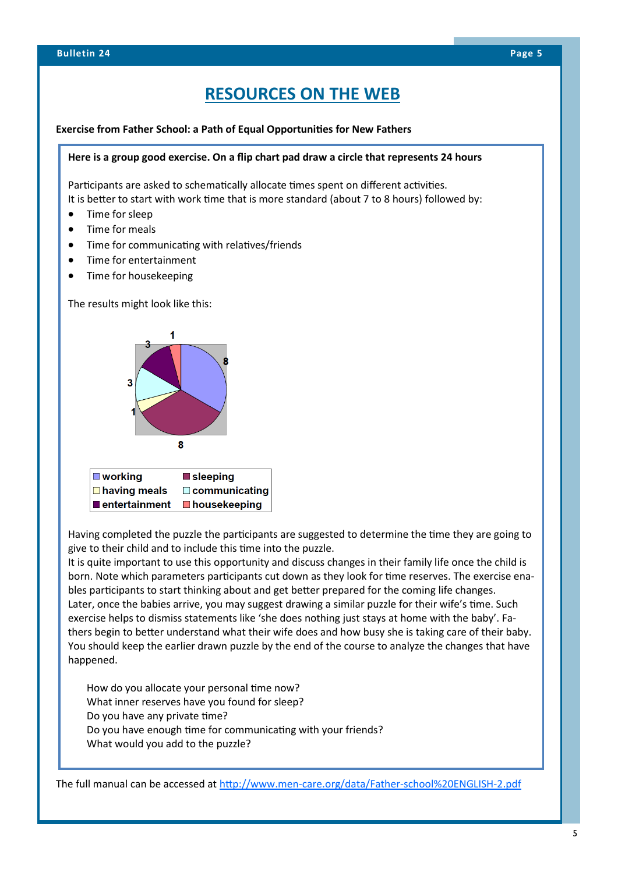## **RESOURCES ON THE WEB**

**Exercise from Father School: a Path of Equal Opportunities for New Fathers**

#### **Here is a group good exercise. On a flip chart pad draw a circle that represents 24 hours**

Participants are asked to schematically allocate times spent on different activities. It is better to start with work time that is more standard (about 7 to 8 hours) followed by:

- Time for sleep
- Time for meals
- Time for communicating with relatives/friends
- Time for entertainment
- Time for housekeeping

The results might look like this:



Having completed the puzzle the participants are suggested to determine the time they are going to give to their child and to include this time into the puzzle.

It is quite important to use this opportunity and discuss changes in their family life once the child is born. Note which parameters participants cut down as they look for time reserves. The exercise enables participants to start thinking about and get better prepared for the coming life changes. Later, once the babies arrive, you may suggest drawing a similar puzzle for their wife's time. Such exercise helps to dismiss statements like 'she does nothing just stays at home with the baby'. Fathers begin to better understand what their wife does and how busy she is taking care of their baby. You should keep the earlier drawn puzzle by the end of the course to analyze the changes that have happened.

How do you allocate your personal time now? What inner reserves have you found for sleep? Do you have any private time? Do you have enough time for communicating with your friends? What would you add to the puzzle?

The full manual can be accessed at http://www.men-[care.org/data/Father](http://www.men-care.org/data/Father-school%20ENGLISH-2.pdf)-school%20ENGLISH-2.pdf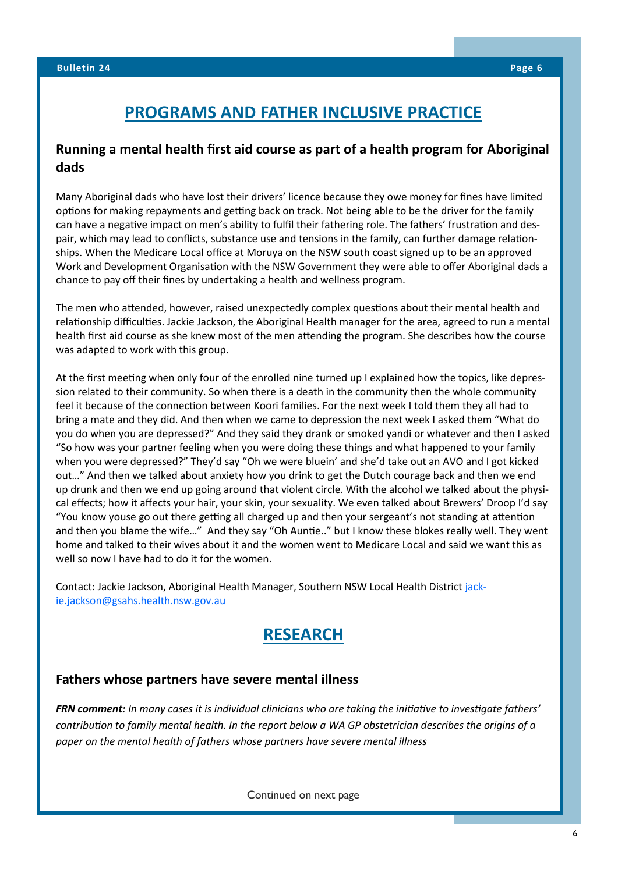### **PROGRAMS AND FATHER INCLUSIVE PRACTICE**

### **Running a mental health first aid course as part of a health program for Aboriginal dads**

Many Aboriginal dads who have lost their drivers' licence because they owe money for fines have limited options for making repayments and getting back on track. Not being able to be the driver for the family can have a negative impact on men's ability to fulfil their fathering role. The fathers' frustration and despair, which may lead to conflicts, substance use and tensions in the family, can further damage relationships. When the Medicare Local office at Moruya on the NSW south coast signed up to be an approved Work and Development Organisation with the NSW Government they were able to offer Aboriginal dads a chance to pay off their fines by undertaking a health and wellness program.

The men who attended, however, raised unexpectedly complex questions about their mental health and relationship difficulties. Jackie Jackson, the Aboriginal Health manager for the area, agreed to run a mental health first aid course as she knew most of the men attending the program. She describes how the course was adapted to work with this group.

At the first meeting when only four of the enrolled nine turned up I explained how the topics, like depression related to their community. So when there is a death in the community then the whole community feel it because of the connection between Koori families. For the next week I told them they all had to bring a mate and they did. And then when we came to depression the next week I asked them "What do you do when you are depressed?" And they said they drank or smoked yandi or whatever and then I asked "So how was your partner feeling when you were doing these things and what happened to your family when you were depressed?" They'd say "Oh we were bluein' and she'd take out an AVO and I got kicked out…" And then we talked about anxiety how you drink to get the Dutch courage back and then we end up drunk and then we end up going around that violent circle. With the alcohol we talked about the physical effects; how it affects your hair, your skin, your sexuality. We even talked about Brewers' Droop I'd say "You know youse go out there getting all charged up and then your sergeant's not standing at attention and then you blame the wife…" And they say "Oh Auntie.." but I know these blokes really well. They went home and talked to their wives about it and the women went to Medicare Local and said we want this as well so now I have had to do it for the women.

Contact: Jackie Jackson, Aboriginal Health Manager, Southern NSW Local Health District [jack](mailto:jackie.jackson@gsahs.health.nsw.gov.au)[ie.jackson@gsahs.health.nsw.gov.au](mailto:jackie.jackson@gsahs.health.nsw.gov.au)

### **RESEARCH**

#### **Fathers whose partners have severe mental illness**

*FRN comment: In many cases it is individual clinicians who are taking the initiative to investigate fathers' contribution to family mental health. In the report below a WA GP obstetrician describes the origins of a paper on the mental health of fathers whose partners have severe mental illness*

Continued on next page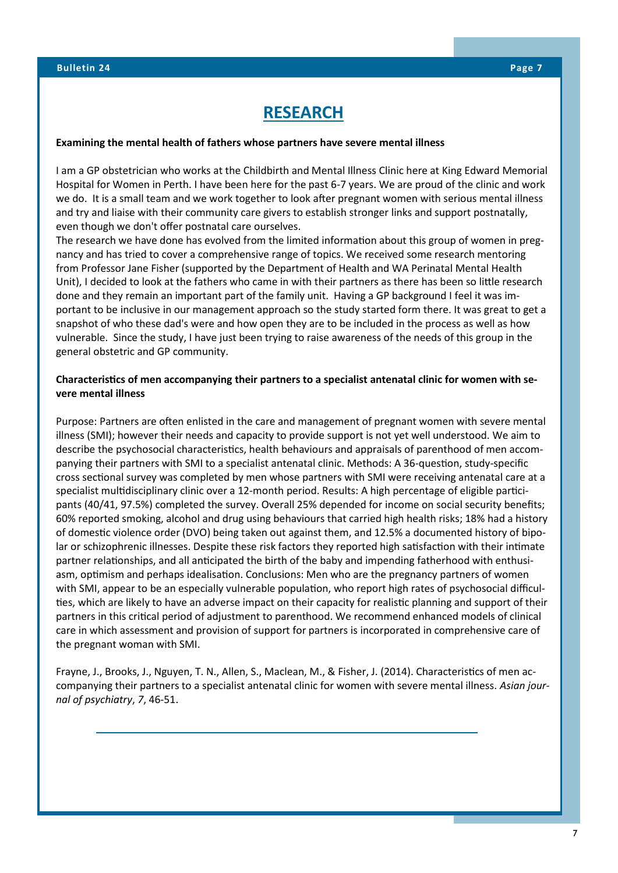#### **Examining the mental health of fathers whose partners have severe mental illness**

I am a GP obstetrician who works at the Childbirth and Mental Illness Clinic here at King Edward Memorial Hospital for Women in Perth. I have been here for the past 6-7 years. We are proud of the clinic and work we do. It is a small team and we work together to look after pregnant women with serious mental illness and try and liaise with their community care givers to establish stronger links and support postnatally, even though we don't offer postnatal care ourselves.

The research we have done has evolved from the limited information about this group of women in pregnancy and has tried to cover a comprehensive range of topics. We received some research mentoring from Professor Jane Fisher (supported by the Department of Health and WA Perinatal Mental Health Unit), I decided to look at the fathers who came in with their partners as there has been so little research done and they remain an important part of the family unit. Having a GP background I feel it was important to be inclusive in our management approach so the study started form there. It was great to get a snapshot of who these dad's were and how open they are to be included in the process as well as how vulnerable. Since the study, I have just been trying to raise awareness of the needs of this group in the general obstetric and GP community.

#### **Characteristics of men accompanying their partners to a specialist antenatal clinic for women with severe mental illness**

Purpose: Partners are often enlisted in the care and management of pregnant women with severe mental illness (SMI); however their needs and capacity to provide support is not yet well understood. We aim to describe the psychosocial characteristics, health behaviours and appraisals of parenthood of men accompanying their partners with SMI to a specialist antenatal clinic. Methods: A 36-question, study-specific cross sectional survey was completed by men whose partners with SMI were receiving antenatal care at a specialist multidisciplinary clinic over a 12-month period. Results: A high percentage of eligible participants (40/41, 97.5%) completed the survey. Overall 25% depended for income on social security benefits; 60% reported smoking, alcohol and drug using behaviours that carried high health risks; 18% had a history of domestic violence order (DVO) being taken out against them, and 12.5% a documented history of bipolar or schizophrenic illnesses. Despite these risk factors they reported high satisfaction with their intimate partner relationships, and all anticipated the birth of the baby and impending fatherhood with enthusiasm, optimism and perhaps idealisation. Conclusions: Men who are the pregnancy partners of women with SMI, appear to be an especially vulnerable population, who report high rates of psychosocial difficulties, which are likely to have an adverse impact on their capacity for realistic planning and support of their partners in this critical period of adjustment to parenthood. We recommend enhanced models of clinical care in which assessment and provision of support for partners is incorporated in comprehensive care of the pregnant woman with SMI.

Frayne, J., Brooks, J., Nguyen, T. N., Allen, S., Maclean, M., & Fisher, J. (2014). Characteristics of men accompanying their partners to a specialist antenatal clinic for women with severe mental illness. *Asian journal of psychiatry*, *7*, 46-51.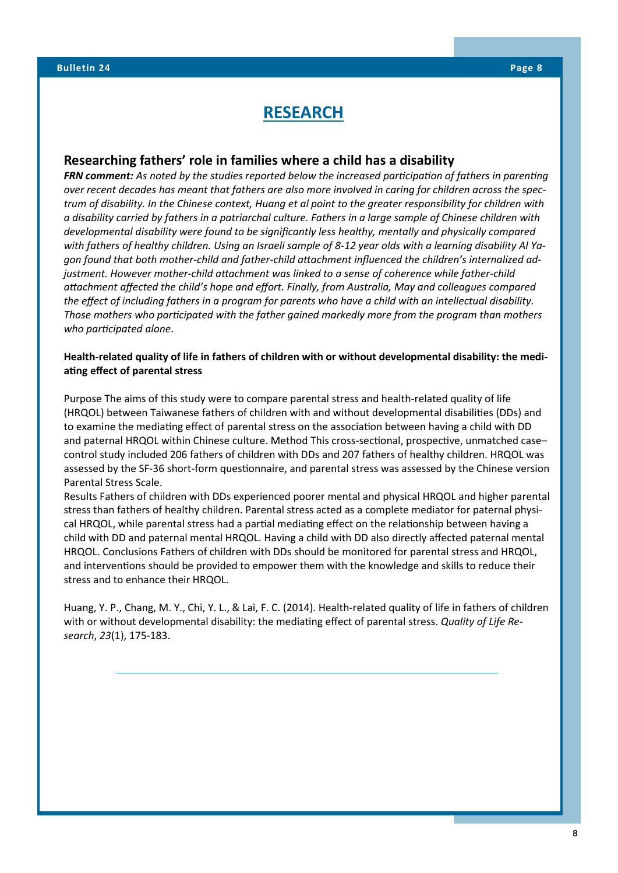#### **Researching fathers' role in families where a child has a disability**

*FRN comment: As noted by the studies reported below the increased participation of fathers in parenting over recent decades has meant that fathers are also more involved in caring for children across the spectrum of disability. In the Chinese context, Huang et al point to the greater responsibility for children with a disability carried by fathers in a patriarchal culture. Fathers in a large sample of Chinese children with developmental disability were found to be significantly less healthy, mentally and physically compared with fathers of healthy children. Using an Israeli sample of 8-12 year olds with a learning disability Al Yagon found that both mother-child and father-child attachment influenced the children's internalized adjustment. However mother-child attachment was linked to a sense of coherence while father-child attachment affected the child's hope and effort. Finally, from Australia, May and colleagues compared the effect of including fathers in a program for parents who have a child with an intellectual disability. Those mothers who participated with the father gained markedly more from the program than mothers who participated alone*.

#### **Health-related quality of life in fathers of children with or without developmental disability: the mediating effect of parental stress**

Purpose The aims of this study were to compare parental stress and health-related quality of life (HRQOL) between Taiwanese fathers of children with and without developmental disabilities (DDs) and to examine the mediating effect of parental stress on the association between having a child with DD and paternal HRQOL within Chinese culture. Method This cross-sectional, prospective, unmatched case– control study included 206 fathers of children with DDs and 207 fathers of healthy children. HRQOL was assessed by the SF-36 short-form questionnaire, and parental stress was assessed by the Chinese version Parental Stress Scale.

Results Fathers of children with DDs experienced poorer mental and physical HRQOL and higher parental stress than fathers of healthy children. Parental stress acted as a complete mediator for paternal physical HRQOL, while parental stress had a partial mediating effect on the relationship between having a child with DD and paternal mental HRQOL. Having a child with DD also directly affected paternal mental HRQOL. Conclusions Fathers of children with DDs should be monitored for parental stress and HRQOL, and interventions should be provided to empower them with the knowledge and skills to reduce their stress and to enhance their HRQOL.

Huang, Y. P., Chang, M. Y., Chi, Y. L., & Lai, F. C. (2014). Health-related quality of life in fathers of children with or without developmental disability: the mediating effect of parental stress. *Quality of Life Research*, *23*(1), 175-183.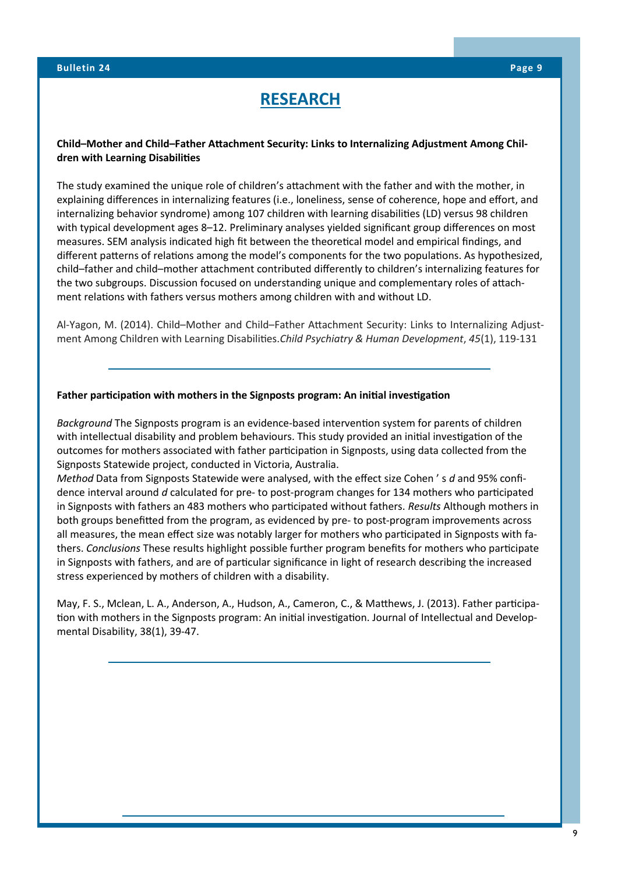#### **Child–Mother and Child–Father Attachment Security: Links to Internalizing Adjustment Among Children with Learning Disabilities**

The study examined the unique role of children's attachment with the father and with the mother, in explaining differences in internalizing features (i.e., loneliness, sense of coherence, hope and effort, and internalizing behavior syndrome) among 107 children with learning disabilities (LD) versus 98 children with typical development ages 8–12. Preliminary analyses yielded significant group differences on most measures. SEM analysis indicated high fit between the theoretical model and empirical findings, and different patterns of relations among the model's components for the two populations. As hypothesized, child–father and child–mother attachment contributed differently to children's internalizing features for the two subgroups. Discussion focused on understanding unique and complementary roles of attachment relations with fathers versus mothers among children with and without LD.

Al-Yagon, M. (2014). Child–Mother and Child–Father Attachment Security: Links to Internalizing Adjustment Among Children with Learning Disabilities.*Child Psychiatry & Human Development*, *45*(1), 119-131

#### **Father participation with mothers in the Signposts program: An initial investigation**

*Background* The Signposts program is an evidence-based intervention system for parents of children with intellectual disability and problem behaviours. This study provided an initial investigation of the outcomes for mothers associated with father participation in Signposts, using data collected from the Signposts Statewide project, conducted in Victoria, Australia.

*Method* Data from Signposts Statewide were analysed, with the effect size Cohen ' s *d* and 95% confidence interval around *d* calculated for pre- to post-program changes for 134 mothers who participated in Signposts with fathers an 483 mothers who participated without fathers. *Results* Although mothers in both groups benefitted from the program, as evidenced by pre- to post-program improvements across all measures, the mean effect size was notably larger for mothers who participated in Signposts with fathers. *Conclusions* These results highlight possible further program benefits for mothers who participate in Signposts with fathers, and are of particular significance in light of research describing the increased stress experienced by mothers of children with a disability.

May, F. S., Mclean, L. A., Anderson, A., Hudson, A., Cameron, C., & Matthews, J. (2013). Father participation with mothers in the Signposts program: An initial investigation. Journal of Intellectual and Developmental Disability, 38(1), 39-47.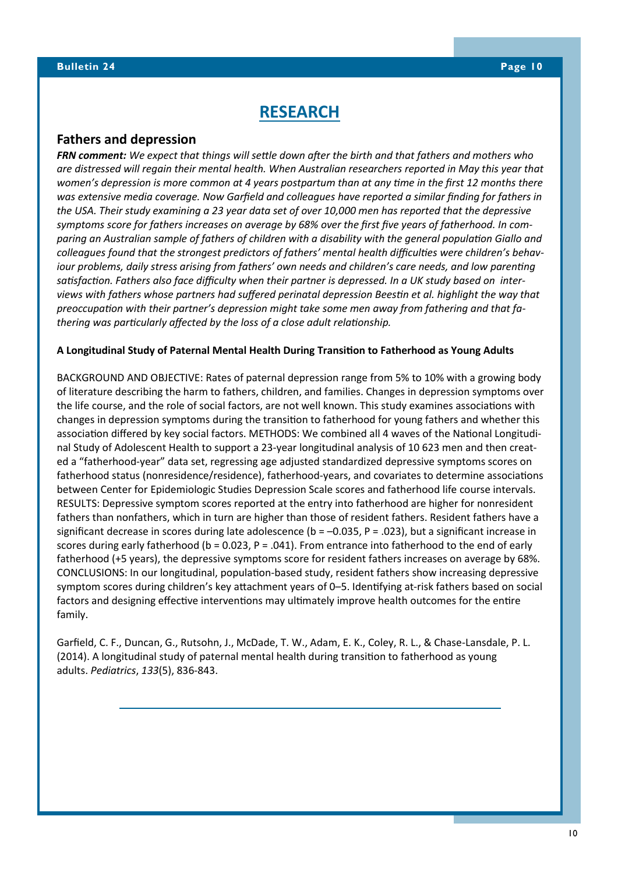#### **Fathers and depression**

*FRN comment: We expect that things will settle down after the birth and that fathers and mothers who are distressed will regain their mental health. When Australian researchers reported in May this year that women's depression is more common at 4 years postpartum than at any time in the first 12 months there was extensive media coverage. Now Garfield and colleagues have reported a similar finding for fathers in the USA. Their study examining a 23 year data set of over 10,000 men has reported that the depressive symptoms score for fathers increases on average by 68% over the first five years of fatherhood. In comparing an Australian sample of fathers of children with a disability with the general population Giallo and colleagues found that the strongest predictors of fathers' mental health difficulties were children's behaviour problems, daily stress arising from fathers' own needs and children's care needs, and low parenting satisfaction. Fathers also face difficulty when their partner is depressed. In a UK study based on interviews with fathers whose partners had suffered perinatal depression Beestin et al. highlight the way that preoccupation with their partner's depression might take some men away from fathering and that fathering was particularly affected by the loss of a close adult relationship.*

#### **A Longitudinal Study of Paternal Mental Health During Transition to Fatherhood as Young Adults**

BACKGROUND AND OBJECTIVE: Rates of paternal depression range from 5% to 10% with a growing body of literature describing the harm to fathers, children, and families. Changes in depression symptoms over the life course, and the role of social factors, are not well known. This study examines associations with changes in depression symptoms during the transition to fatherhood for young fathers and whether this association differed by key social factors. METHODS: We combined all 4 waves of the National Longitudinal Study of Adolescent Health to support a 23-year longitudinal analysis of 10 623 men and then created a "fatherhood-year" data set, regressing age adjusted standardized depressive symptoms scores on fatherhood status (nonresidence/residence), fatherhood-years, and covariates to determine associations between Center for Epidemiologic Studies Depression Scale scores and fatherhood life course intervals. RESULTS: Depressive symptom scores reported at the entry into fatherhood are higher for nonresident fathers than nonfathers, which in turn are higher than those of resident fathers. Resident fathers have a significant decrease in scores during late adolescence ( $b = -0.035$ ,  $P = .023$ ), but a significant increase in scores during early fatherhood (b =  $0.023$ , P = .041). From entrance into fatherhood to the end of early fatherhood (+5 years), the depressive symptoms score for resident fathers increases on average by 68%. CONCLUSIONS: In our longitudinal, population-based study, resident fathers show increasing depressive symptom scores during children's key attachment years of 0–5. Identifying at-risk fathers based on social factors and designing effective interventions may ultimately improve health outcomes for the entire family.

Garfield, C. F., Duncan, G., Rutsohn, J., McDade, T. W., Adam, E. K., Coley, R. L., & Chase-Lansdale, P. L. (2014). A longitudinal study of paternal mental health during transition to fatherhood as young adults. *Pediatrics*, *133*(5), 836-843.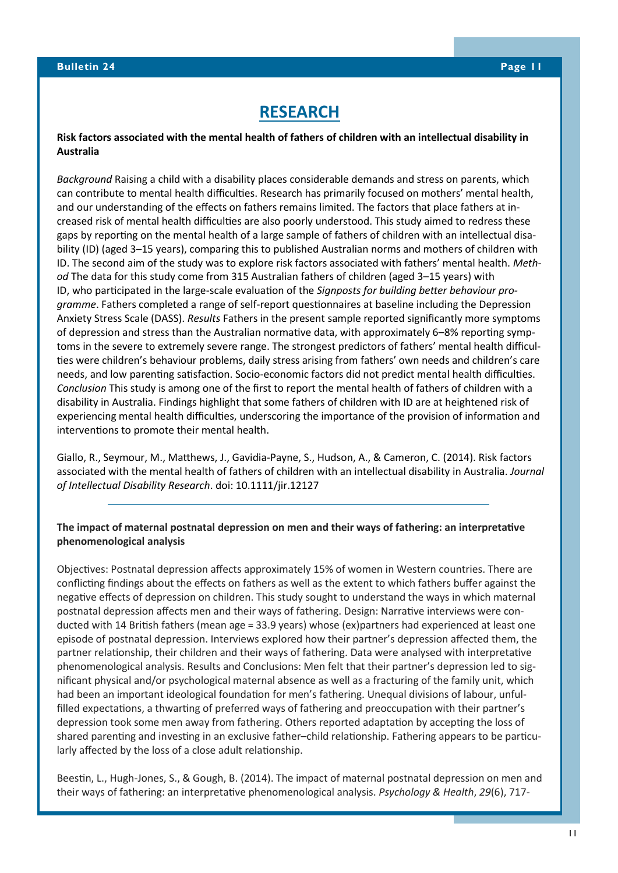#### **Risk factors associated with the mental health of fathers of children with an intellectual disability in Australia**

*Background* Raising a child with a disability places considerable demands and stress on parents, which can contribute to mental health difficulties. Research has primarily focused on mothers' mental health, and our understanding of the effects on fathers remains limited. The factors that place fathers at increased risk of mental health difficulties are also poorly understood. This study aimed to redress these gaps by reporting on the mental health of a large sample of fathers of children with an intellectual disability (ID) (aged 3–15 years), comparing this to published Australian norms and mothers of children with ID. The second aim of the study was to explore risk factors associated with fathers' mental health. *Method* The data for this study come from 315 Australian fathers of children (aged 3–15 years) with ID, who participated in the large-scale evaluation of the *Signposts for building better behaviour programme*. Fathers completed a range of self-report questionnaires at baseline including the Depression Anxiety Stress Scale (DASS). *Results* Fathers in the present sample reported significantly more symptoms of depression and stress than the Australian normative data, with approximately 6–8% reporting symptoms in the severe to extremely severe range. The strongest predictors of fathers' mental health difficulties were children's behaviour problems, daily stress arising from fathers' own needs and children's care needs, and low parenting satisfaction. Socio-economic factors did not predict mental health difficulties. *Conclusion* This study is among one of the first to report the mental health of fathers of children with a disability in Australia. Findings highlight that some fathers of children with ID are at heightened risk of experiencing mental health difficulties, underscoring the importance of the provision of information and interventions to promote their mental health.

Giallo, R., Seymour, M., Matthews, J., Gavidia-Payne, S., Hudson, A., & Cameron, C. (2014). Risk factors associated with the mental health of fathers of children with an intellectual disability in Australia. *Journal of Intellectual Disability Research*. doi: 10.1111/jir.12127

#### **The impact of maternal postnatal depression on men and their ways of fathering: an interpretative phenomenological analysis**

Objectives: Postnatal depression affects approximately 15% of women in Western countries. There are conflicting findings about the effects on fathers as well as the extent to which fathers buffer against the negative effects of depression on children. This study sought to understand the ways in which maternal postnatal depression affects men and their ways of fathering. Design: Narrative interviews were conducted with 14 British fathers (mean age = 33.9 years) whose (ex)partners had experienced at least one episode of postnatal depression. Interviews explored how their partner's depression affected them, the partner relationship, their children and their ways of fathering. Data were analysed with interpretative phenomenological analysis. Results and Conclusions: Men felt that their partner's depression led to significant physical and/or psychological maternal absence as well as a fracturing of the family unit, which had been an important ideological foundation for men's fathering. Unequal divisions of labour, unfulfilled expectations, a thwarting of preferred ways of fathering and preoccupation with their partner's depression took some men away from fathering. Others reported adaptation by accepting the loss of shared parenting and investing in an exclusive father–child relationship. Fathering appears to be particularly affected by the loss of a close adult relationship.

Beestin, L., Hugh-Jones, S., & Gough, B. (2014). The impact of maternal postnatal depression on men and their ways of fathering: an interpretative phenomenological analysis. *Psychology & Health*, *29*(6), 717-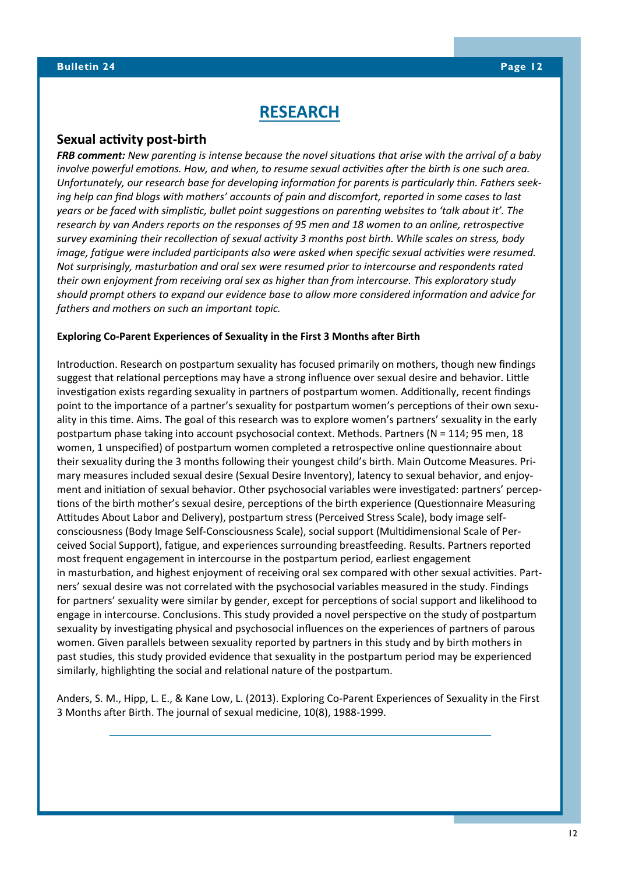#### **Sexual activity post-birth**

*FRB comment: New parenting is intense because the novel situations that arise with the arrival of a baby involve powerful emotions. How, and when, to resume sexual activities after the birth is one such area. Unfortunately, our research base for developing information for parents is particularly thin. Fathers seeking help can find blogs with mothers' accounts of pain and discomfort, reported in some cases to last years or be faced with simplistic, bullet point suggestions on parenting websites to 'talk about it'. The research by van Anders reports on the responses of 95 men and 18 women to an online, retrospective survey examining their recollection of sexual activity 3 months post birth. While scales on stress, body image, fatigue were included participants also were asked when specific sexual activities were resumed. Not surprisingly, masturbation and oral sex were resumed prior to intercourse and respondents rated their own enjoyment from receiving oral sex as higher than from intercourse. This exploratory study should prompt others to expand our evidence base to allow more considered information and advice for fathers and mothers on such an important topic.* 

#### **Exploring Co-Parent Experiences of Sexuality in the First 3 Months after Birth**

Introduction. Research on postpartum sexuality has focused primarily on mothers, though new findings suggest that relational perceptions may have a strong influence over sexual desire and behavior. Little investigation exists regarding sexuality in partners of postpartum women. Additionally, recent findings point to the importance of a partner's sexuality for postpartum women's perceptions of their own sexuality in this time. Aims. The goal of this research was to explore women's partners' sexuality in the early postpartum phase taking into account psychosocial context. Methods. Partners (N = 114; 95 men, 18 women, 1 unspecified) of postpartum women completed a retrospective online questionnaire about their sexuality during the 3 months following their youngest child's birth. Main Outcome Measures. Primary measures included sexual desire (Sexual Desire Inventory), latency to sexual behavior, and enjoyment and initiation of sexual behavior. Other psychosocial variables were investigated: partners' perceptions of the birth mother's sexual desire, perceptions of the birth experience (Questionnaire Measuring Attitudes About Labor and Delivery), postpartum stress (Perceived Stress Scale), body image selfconsciousness (Body Image Self-Consciousness Scale), social support (Multidimensional Scale of Perceived Social Support), fatigue, and experiences surrounding breastfeeding. Results. Partners reported most frequent engagement in intercourse in the postpartum period, earliest engagement in masturbation, and highest enjoyment of receiving oral sex compared with other sexual activities. Partners' sexual desire was not correlated with the psychosocial variables measured in the study. Findings for partners' sexuality were similar by gender, except for perceptions of social support and likelihood to engage in intercourse. Conclusions. This study provided a novel perspective on the study of postpartum sexuality by investigating physical and psychosocial influences on the experiences of partners of parous women. Given parallels between sexuality reported by partners in this study and by birth mothers in past studies, this study provided evidence that sexuality in the postpartum period may be experienced similarly, highlighting the social and relational nature of the postpartum.

Anders, S. M., Hipp, L. E., & Kane Low, L. (2013). Exploring Co-Parent Experiences of Sexuality in the First 3 Months after Birth. The journal of sexual medicine, 10(8), 1988-1999.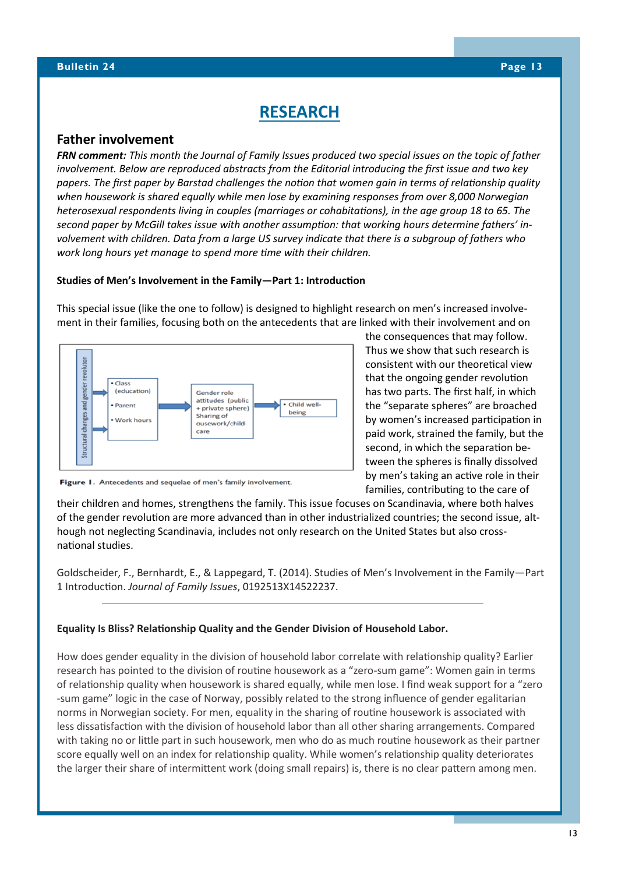#### **Father involvement**

*FRN comment: This month the Journal of Family Issues produced two special issues on the topic of father involvement. Below are reproduced abstracts from the Editorial introducing the first issue and two key papers. The first paper by Barstad challenges the notion that women gain in terms of relationship quality when housework is shared equally while men lose by examining responses from over 8,000 Norwegian heterosexual respondents living in couples (marriages or cohabitations), in the age group 18 to 65. The second paper by McGill takes issue with another assumption: that working hours determine fathers' involvement with children. Data from a large US survey indicate that there is a subgroup of fathers who work long hours yet manage to spend more time with their children.* 

#### **Studies of Men's Involvement in the Family—Part 1: Introduction**

This special issue (like the one to follow) is designed to highlight research on men's increased involvement in their families, focusing both on the antecedents that are linked with their involvement and on



the consequences that may follow. Thus we show that such research is consistent with our theoretical view that the ongoing gender revolution has two parts. The first half, in which the "separate spheres" are broached by women's increased participation in paid work, strained the family, but the second, in which the separation between the spheres is finally dissolved by men's taking an active role in their families, contributing to the care of

Figure 1. Antecedents and sequelae of men's family involvement.

their children and homes, strengthens the family. This issue focuses on Scandinavia, where both halves of the gender revolution are more advanced than in other industrialized countries; the second issue, although not neglecting Scandinavia, includes not only research on the United States but also crossnational studies.

Goldscheider, F., Bernhardt, E., & Lappegard, T. (2014). Studies of Men's Involvement in the Family—Part 1 Introduction. *Journal of Family Issues*, 0192513X14522237.

#### **Equality Is Bliss? Relationship Quality and the Gender Division of Household Labor.**

How does gender equality in the division of household labor correlate with relationship quality? Earlier research has pointed to the division of routine housework as a "zero-sum game": Women gain in terms of relationship quality when housework is shared equally, while men lose. I find weak support for a "zero -sum game" logic in the case of Norway, possibly related to the strong influence of gender egalitarian norms in Norwegian society. For men, equality in the sharing of routine housework is associated with less dissatisfaction with the division of household labor than all other sharing arrangements. Compared with taking no or little part in such housework, men who do as much routine housework as their partner score equally well on an index for relationship quality. While women's relationship quality deteriorates the larger their share of intermittent work (doing small repairs) is, there is no clear pattern among men.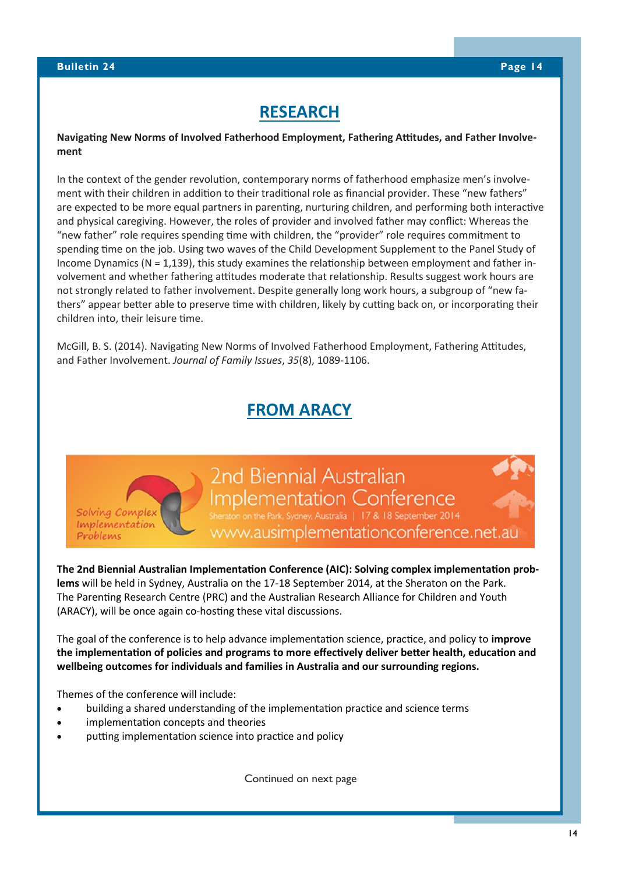**Navigating New Norms of Involved Fatherhood Employment, Fathering Attitudes, and Father Involvement**

In the context of the gender revolution, contemporary norms of fatherhood emphasize men's involvement with their children in addition to their traditional role as financial provider. These "new fathers" are expected to be more equal partners in parenting, nurturing children, and performing both interactive and physical caregiving. However, the roles of provider and involved father may conflict: Whereas the "new father" role requires spending time with children, the "provider" role requires commitment to spending time on the job. Using two waves of the Child Development Supplement to the Panel Study of Income Dynamics ( $N = 1,139$ ), this study examines the relationship between employment and father involvement and whether fathering attitudes moderate that relationship. Results suggest work hours are not strongly related to father involvement. Despite generally long work hours, a subgroup of "new fathers" appear better able to preserve time with children, likely by cutting back on, or incorporating their children into, their leisure time.

McGill, B. S. (2014). Navigating New Norms of Involved Fatherhood Employment, Fathering Attitudes, and Father Involvement. *Journal of Family Issues*, *35*(8), 1089-1106.

### **FROM ARACY**



2nd Biennial Australian **Implementation Conference** www.ausimplementationconference.net.au

**The 2nd Biennial Australian Implementation Conference (AIC): Solving complex implementation problems** will be held in Sydney, Australia on the 17-18 September 2014, at the Sheraton on the Park. The Parenting Research Centre (PRC) and the Australian Research Alliance for Children and Youth (ARACY), will be once again co-hosting these vital discussions.

The goal of the conference is to help advance implementation science, practice, and policy to **improve the implementation of policies and programs to more effectively deliver better health, education and wellbeing outcomes for individuals and families in Australia and our surrounding regions.**

Themes of the conference will include:

- building a shared understanding of the implementation practice and science terms
- implementation concepts and theories
- putting implementation science into practice and policy

Continued on next page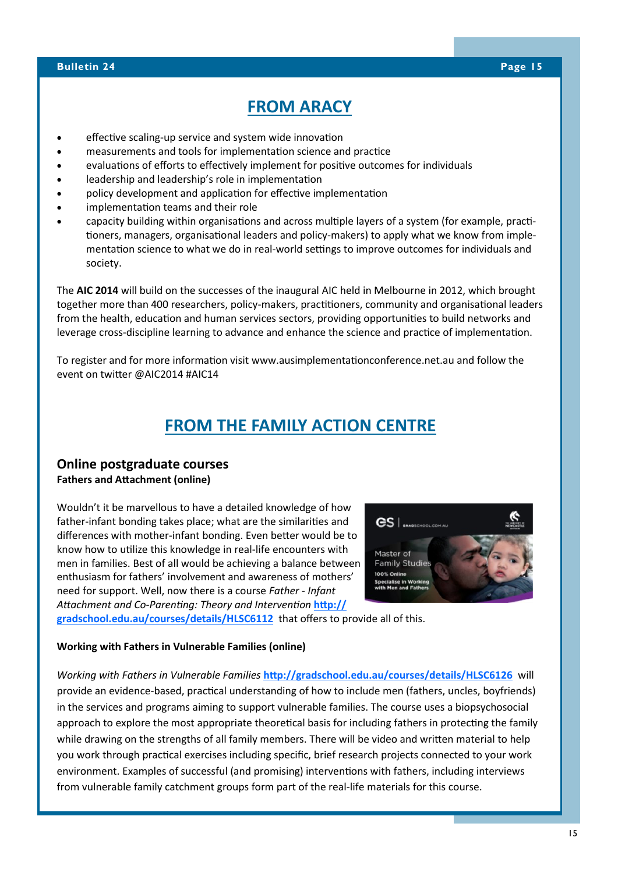#### **Bulletin 24 Page 15**

### **FROM ARACY**

- effective scaling-up service and system wide innovation
- measurements and tools for implementation science and practice
- evaluations of efforts to effectively implement for positive outcomes for individuals
- leadership and leadership's role in implementation
- policy development and application for effective implementation
- implementation teams and their role
- capacity building within organisations and across multiple layers of a system (for example, practitioners, managers, organisational leaders and policy-makers) to apply what we know from implementation science to what we do in real-world settings to improve outcomes for individuals and society.

The **AIC 2014** will build on the successes of the inaugural [AIC held in Melbourne in 2012,](http://www.ausimplementationconference.net.au/2012/) which brought together more than 400 researchers, policy-makers, practitioners, community and organisational leaders from the health, education and human services sectors, providing opportunities to build networks and leverage cross-discipline learning to advance and enhance the science and practice of implementation.

To register and for more information visit [www.ausimplementationconference.net.au](http://www.ausimplementationconference.net.au) and follow the event on twitter @AIC2014 #AIC14

### **FROM THE FAMILY ACTION CENTRE**

#### **Online postgraduate courses Fathers and Attachment (online)**

Wouldn't it be marvellous to have a detailed knowledge of how father-infant bonding takes place; what are the similarities and differences with mother-infant bonding. Even better would be to know how to utilize this knowledge in real-life encounters with men in families. Best of all would be achieving a balance between enthusiasm for fathers' involvement and awareness of mothers' need for support. Well, now there is a course *Father - Infant Attachment and Co-Parenting: Theory and Intervention* **[http://](http://gradschool.edu.au/courses/details/HLSC6112)**



**[gradschool.edu.au/courses/details/HLSC6112](http://gradschool.edu.au/courses/details/HLSC6112)** that offers to provide all of this.

#### **Working with Fathers in Vulnerable Families (online)**

*Working with Fathers in Vulnerable Families* **<http://gradschool.edu.au/courses/details/HLSC6126>** will provide an evidence-based, practical understanding of how to include men (fathers, uncles, boyfriends) in the services and programs aiming to support vulnerable families. The course uses a biopsychosocial approach to explore the most appropriate theoretical basis for including fathers in protecting the family while drawing on the strengths of all family members. There will be video and written material to help you work through practical exercises including specific, brief research projects connected to your work environment. Examples of successful (and promising) interventions with fathers, including interviews from vulnerable family catchment groups form part of the real-life materials for this course.